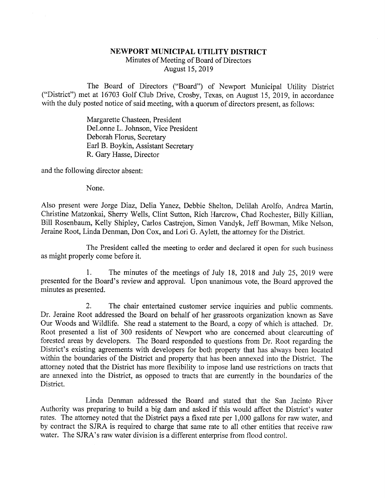## NEWPORT MUNICIPAL UTILITY DISTRICT Minutes of Meeting of Board of Directors August 15, 2019

The Board of Directors ("Board") of Newport Municipal Utility District ("District") met at 16703 Golf Club Drive, Crosby, Texas, on August 15, 2019, in accordance with the duly posted notice of said meeting, with a quorum of directors present, as follows:

> Margarette Chasteen, President DeLonne L. Johnson, Vice President Deborah Floms, Secretary Earl B. Boykin, Assistant Secretary R. Gary Hasse, Director

and the following director absent:

None.

Also present were Jorge Diaz, Delia Yanez, Debbie Shelton, Delilah Arolfo, Andrea Martin, Christine Matzonkai, Sherry Wells, Clint Sutton, Rich Harcrow, Chad Rochester, Billy Killian, Bill Rosenbaum, Kelly Shipley, Carlos Castrejon, Simon Vandyk, Jeff Bowman, Mike Nelson, Jeraine Root, Linda Denman, Don Cox, and Lori G. Aylett, the attorney for the District.

The President called the meeting to order and declared it open for such business as might properly come before it.

1. The minutes of the meetings of July 18, 2018 and July 25, 2019 were presented for the Board's review and approval. Upon unanimous vote, the Board approved the minutes as presented.

2. The chair entertained customer service inquiries and public comments. Dr. Jeraine Root addressed the Board on behalf of her grassroots organization known as Save Our Woods and Wildlife. She read a statement to the Board, a copy of which is attached. Dr. Root presented a list of 300 residents of Newport who are concerned about clearcutting of forested areas by developers. The Board responded to questions from Dr. Root regarding the District's existing agreements with developers for both property that has always been located within the boundaries of the District and property that has been annexed into the District. The attorney noted that the District has more flexibility to impose land use restrictions on tracts that are annexed into the District, as opposed to tracts that are currently in the boundaries of the District.

Linda Denman addressed the Board and stated that the San Jacinto River Authority was preparing to build a big dam and asked if this would affect the District's water rates. The attorney noted that the District pays a fixed rate per 1,000 gallons for raw water, and by contract the SJRA is required to charge that same rate to all other entities that receive raw water. The SJRA's raw water division is a different enterprise from flood control.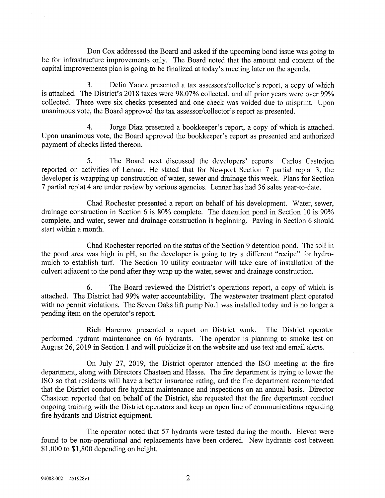Don Cox addressed the Board and asked if the upcoming bond issue was going to be for infrastructure improvements only. The Board noted that the amount and content of the capital improvements plan is going to be finalized at today's meeting later on the agenda.

3. Delia Yanez presented a tax assessors/collector's report, a copy of which is attached. The District's 2018 taxes were 98.07% collected, and all prior years were over 99% collected. There were six checks presented and one check was voided due to misprint. Upon unanimous vote, the Board approved the tax assessor/collector's report as presented.

4. Jorge Diaz presented a bookkeeper's report, a copy of which is attached. Upon unanimous vote, the Board approved the bookkeeper's report as presented and authorized payment of checks listed thereon.

5. The Board next discussed the developers' reports Carlos Castrejon reported on activities of Lennar. He stated that for Newport Section 7 partial replat 3, the developer is wrapping up construction of water, sewer and drainage this week. Plans for Section 7 partial replat 4 are under review by various agencies. Lennar has had 36 sales year-to-date.

Chad Rochester presented a report on behalf of his development. Water, sewer, drainage construction in Section 6 is 80% complete. The detention pond in Section 10 is 90% complete, and water, sewer and drainage construction is beginning. Paving in Section 6 should start within a month.

Chad Rochester reported on the status of the Section 9 detention pond. The soil in the pond area was high in pH, so the developer is going to try a different "recipe" for hydromulch to establish turf. The Section 10 utility contractor will take care of installation of the culvert adjacent to the pond after they wrap up the water, sewer and drainage construction.

6. The Board reviewed the District's operations report, a copy of which is attached. The District had 99% water accountability. The wastewater treatment plant operated with no permit violations. The Seven Oaks lift pump No.1 was installed today and is no longer a pending item on the operator's report.

Rich Harcrow presented a report on District work. The District operator performed hydrant maintenance on 66 hydrants. The operator is planning to smoke test on August 26, 2019 in Section 1 and will publicize it on the website and use text and email alerts.

On July 27, 2019, the District operator attended the ISO meeting at the fire department, along with Directors Chasteen and Hasse. The fire department is trying to lower the ISO so that residents will have a better insurance rating, and the fire department recommended that the District conduct fire hydrant maintenance and inspections on an annual basis. Director Chasteen reported that on behalf of the District, she requested that the fire department conduct ongoing training with the District operators and keep an open line of communications regarding fire hydrants and District equipment.

The operator noted that 57 hydrants were tested during the month. Eleven were found to be non-operational and replacements have been ordered. New hydrants cost between \$1,000 to \$1,800 depending on height.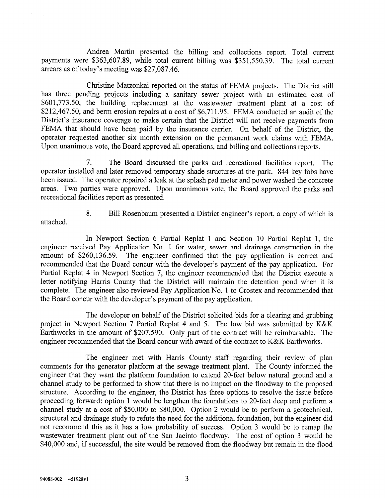Andrea Martin presented the billing and collections report. Total current payments were \$363,607.89, while total current billing was \$351,550.39. The total current arrears as of today's meeting was \$27,087.46.

Christine Matzonkai reported on the status of FEMA projects. The District still has three pending projects including a sanitary sewer project with an estimated cost of \$601,773.50, the building replacement at the wastewater treatment plant at a cost of \$212,467.50, and berm erosion repairs at a cost of \$6,711.95. FEMA conducted an audit of the District's insurance coverage to make certain that the District will not receive payments from FEMA that should have been paid by the insurance carrier. On behalf of the District, the operator requested another six month extension on the permanent work claims with FEMA. Upon unanimous vote, the Board approved all operations, and billing and collections reports.

7. The Board discussed the parks and recreational facilities report. The operator installed and later removed temporary shade structures at the park. 844 key fobs have been issued. The operator repaired a leak at the splash pad meter and power washed the concrete areas. Two parties were approved. Upon unanimous vote, the Board approved the parks and recreational facilities report as presented.

attached.

8. Bill Rosenbaum presented a District engineer's report, a copy of which is

In Newport Section 6 Partial Replat 1 and Section 10 Partial Replat 1, the engineer received Pay Application No. 1 for water, sewer and drainage construction in the amount of \$260,136.59. The engineer confirmed that the pay application is correct and recommended that the Board concur with the developer's payment of the pay application. For Partial Replat 4 in Newport Section 7, the engineer recommended that the District execute a letter notifying Harris County that the District will maintain the detention pond when it is complete. The engineer also reviewed Pay Application No. 1 to Crostex and recommended that the Board concur with the developer's payment of the pay application.

The developer on behalf of the District solicited bids for a clearing and grubbing project in Newport Section 7 Partial Replat 4 and 5. The low bid was submitted by K&K Earthworks in the amount of \$207,590. Only part of the contract will be reimbursable. The engineer recommended that the Board concur with award of the contract to K&K Earthworks.

The engineer met with Harris County staff regarding their review of plan comments for the generator platform at the sewage treatment plant. The County informed the engineer that they want the platform foundation to extend 20-feet below natural ground and a channel study to be performed to show that there is no impact on the floodway to the proposed structure. According to the engineer, the District has three options to resolve the issue before proceeding forward: option 1 would be lengthen the foundations to 20-feet deep and perform a channel study at a cost of \$50,000 to \$80,000. Option 2 would be to perform a geotechnical, structural and drainage study to refute the need for the additional foundation, but the engineer did not recommend this as it has a low probability of success. Option 3 would be to remap the wastewater treatment plant out of the San Jacinto floodway. The cost of option 3 would be \$40,000 and, if successful, the site would be removed from the floodway but remain in the flood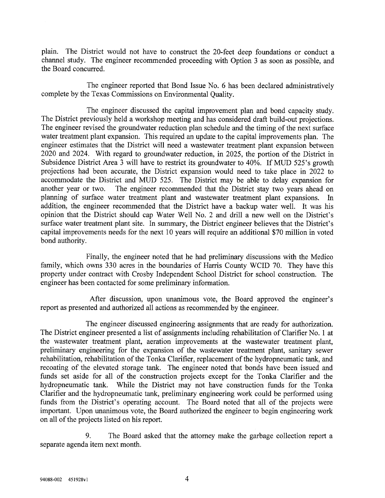plain. The District would not have to construct the 20-feet deep foundations or conduct a channel study. The engineer recommended proceeding with Option 3 as soon as possible, and the Board concurred.

The engineer reported that Bond Issue No. 6 has been declared administratively complete by the Texas Commissions on Environmental Quality.

The engineer discussed the capital improvement plan and bond capacity study. The District previously held a workshop meeting and has considered draft build-out projections. The engineer revised the groundwater reduction plan schedule and the timing of the next surface water treatment plant expansion. This required an update to the capital improvements plan. The engineer estimates that the District will need a wastewater treatment plant expansion between 2020 and 2024. With regard to groundwater reduction, in 2025, the portion of the District in Subsidence District Area 3 will have to restrict its groundwater to 40%. If MUD 525's growth projections had been accurate, the District expansion would need to take place in 2022 to accommodate the District and MUD 525. The District may be able to delay expansion for another year or two. The engineer recommended that the District stay two years ahead on planning of surface water treatment plant and wastewater treatment plant expansions. In addition, the engineer recommended that the District have a backup water well. It was his opinion that the District should cap Water Well No. 2 and drill a new well on the District's surface water treatment plant site. In summary, the District engineer believes that the District's capital improvements needs for the next 10 years will require an additional \$70 million in voted bond authority.

Finally, the engineer noted that he had preliminary discussions with the Medico family, which owns 330 acres in the boundaries of Harris County WCID 70. They have this property under contract with Crosby Independent School District for school construction. The engineer has been contacted for some preliminary information.

After discussion, upon unanimous vote, the Board approved the engineer's report as presented and authorized all actions as recommended by the engineer.

The engineer discussed engineering assignments that are ready for authorization. The District engineer presented a list of assignments including rehabilitation of Clarifier No. 1 at the wastewater treatment plant, aeration improvements at the wastewater treatment plant, preliminary engineering for the expansion of the wastewater treatment plant, sanitary sewer rehabilitation, rehabilitation of the Tonka Clarifier, replacement of the hydropneumatic tank, and recoating of the elevated storage tank. The engineer noted that bonds have been issued and funds set aside for all of the construction projects except for the Tonka Clarifier and the hydropneumatic tank. While the District may not have construction funds for the Tonka Clarifier and the hydropneumatic tank, preliminary engineering work could be performed using funds from the District's operating account. The Board noted that all of the projects were important. Upon unanimous vote, the Board authorized the engineer to begin engineering work on all of the projects listed on his report.

9. The Board asked that the attorney make the garbage collection report a separate agenda item next month.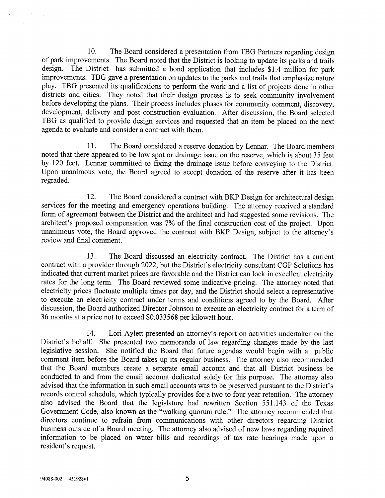10. The Board considered a presentation from TBG Partners regarding design of park improvements. The Board noted that the District is looking to update its parks and trails design. The District has submitted a bond application that includes \$1.4 million for park improvements. TBG gave a presentation on updates to the parks and trails that emphasize nature play. TBG presented its qualifications to perform the work and a list of projects done in other districts and cities. They noted that their design process is to seek community involvement before developing the plans. Their process includes phases for community comment, discovery, development, delivery and post construction evaluation. After discussion, the Board selected TBG as qualified to provide design services and requested that an item be placed on the next agenda to evaluate and consider a contract with them.

11. The Board considered a reserve donation by Lennar. The Board members noted that there appeared to be low spot or drainage issue on the reserve, which is about 35 feet by 120 feet. Lennar committed to fixing the drainage issue before conveying to the District. Upon unanimous vote, the Board agreed to accept donation of the reserve after it has been regraded.

12. The Board considered a contract with BKP Design for architectural design services for the meeting and emergency operations building. The attorney received a standard form of agreement between the District and the architect and had suggested some revisions. The architect's proposed compensation was 7% of the final construction cost of the project. Upon unanimous vote, the Board approved the contract with BKP Design, subject to the attorney's review and final comment.

13. The Board discussed an electricity contract. The District has a current contract with a provider through 2022, but the District's electricity consultant CGP Solutions has indicated that current market prices are favorable and the District can lock in excellent electricity rates for the long term. The Board reviewed some indicative pricing. The attorney noted that electricity prices fluctuate multiple times per day, and the District should select a representative to execute an electricity contract under terms and conditions agreed to by the Board. After discussion, the Board authorized Director Johnson to execute an electricity contract for a term of 36 months at a price not to exceed \$0.033568 per kilowatt hour.

14. Lori Aylett presented an attorney's report on activities undertaken on the District's behalf. She presented two memoranda of law regarding changes made by the last legislative session. She notified the Board that future agendas would begin with a public comment item before the Board takes up its regular business. The attorney also recommended that the Board members create a separate email account and that all District business be conducted to and from the email account dedicated solely for this purpose. The attorney also advised that the information in such email accounts was to be preserved pursuant to the District's records control schedule, which typically provides for a two to four year retention. The attorney also advised the Board that the legislature had rewritten Section 551.143 of the Texas Government Code, also known as the "walking quorum rule." The attorney recommended that directors continue to refrain from communications with other directors regarding District business outside of a Board meeting. The attorney also advised of new laws regarding required infonnation to be placed on water bills and recordings of tax rate hearings made upon a resident's request.

5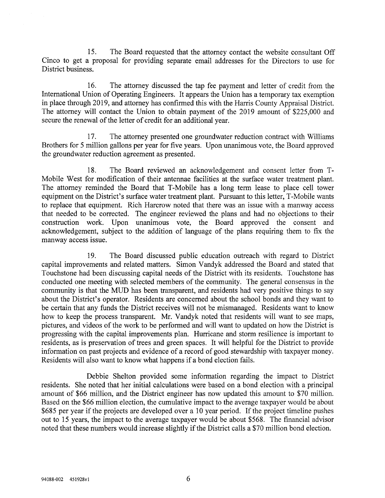15. The Board requested that the attorney contact the website consultant Off Cinco to get a proposal for providing separate email addresses for the Directors to use for District business.

16. The attorney discussed the tap fee payment and letter of credit from the International Union of Operating Engineers. It appears the Union has a temporary tax exemption in place through 2019, and attorney has confirmed this with the Harris County Appraisal District. The attorney will contact the Union to obtain payment of the 2019 amount of \$225,000 and secure the renewal of the letter of credit for an additional year.

17. The attorney presented one groundwater reduction contract with Williams Brothers for 5 million gallons per year for five years. Upon unanimous vote, the Board approved the groundwater reduction agreement as presented.

18. The Board reviewed an acknowledgement and consent letter from T-Mobile West for modification of their antennae facilities at the surface water treatment plant. The attorney reminded the Board that T-Mobile has a long term lease to place cell tower equipment on the District's surface water treatment plant. Pursuant to this letter, T-Mobile wants to replace that equipment. Rich Harcrow noted that there was an issue with a manway access that needed to be corrected. The engineer reviewed the plans and had no objections to their construction work. Upon unanimous vote, the Board approved the consent and acknowledgement, subject to the addition of language of the plans requiring them to fix the manway access issue.

19. The Board discussed public education outreach with regard to District capital improvements and related matters. Simon Vandyk addressed the Board and stated that Touchstone had been discussing capital needs of the District with its residents. Touchstone has conducted one meeting with selected members of the community. The general consensus in the community is that the MUD has been transparent, and residents had very positive things to say about the District's operator. Residents are concerned about the school bonds and they want to be certain that any funds the District receives will not be mismanaged. Residents want to know how to keep the process transparent. Mr. Vandyk noted that residents will want to see maps, pictures, and videos of the work to be performed and will want to updated on how the District is progressing with the capital improvements plan. Hurricane and storm resilience is important to residents, as is preservation of trees and green spaces. It will helpful for the District to provide information on past projects and evidence of a record of good stewardship with taxpayer money. Residents will also want to know what happens if a bond election fails.

Debbie Shelton provided some information regarding the impact to District residents. She noted that her initial calculations were based on a bond election with a principal amount of \$66 million, and the District engineer has now updated this amount to \$70 million. Based on the \$66 million election, the cumulative impact to the average taxpayer would be about \$685 per year if the projects are developed over a 10 year period. If the project timeline pushes out to 15 years, the impact to the average taxpayer would be about \$568. The financial advisor noted that these numbers would increase slightly if the District calls a \$70 million bond election.